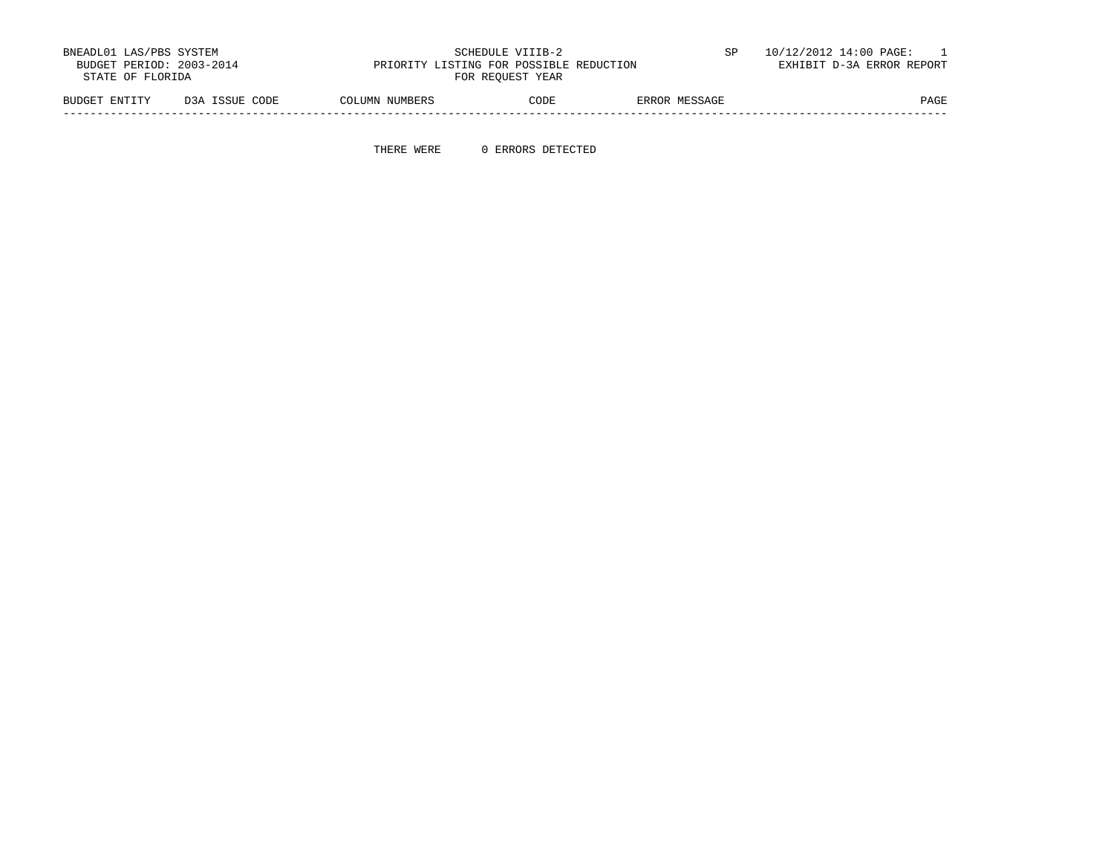| BNEADL01 LAS/PBS SYSTEM<br>BUDGET PERIOD: 2003-2014<br>STATE OF FLORIDA |                | PRIORITY LISTING FOR POSSIBLE REDUCTION | SCHEDULE VIIIB-2<br>FOR REOUEST YEAR |               | 10/12/2012 14:00 PAGE:<br>EXHIBIT D-3A ERROR REPORT |
|-------------------------------------------------------------------------|----------------|-----------------------------------------|--------------------------------------|---------------|-----------------------------------------------------|
| BUDGET ENTITY                                                           | D3A ISSUE CODE | COLUMN NUMBERS                          | CODE                                 | ERROR MESSAGE | PAGE                                                |

-----------------------------------------------------------------------------------------------------------------------------------

THERE WERE 0 ERRORS DETECTED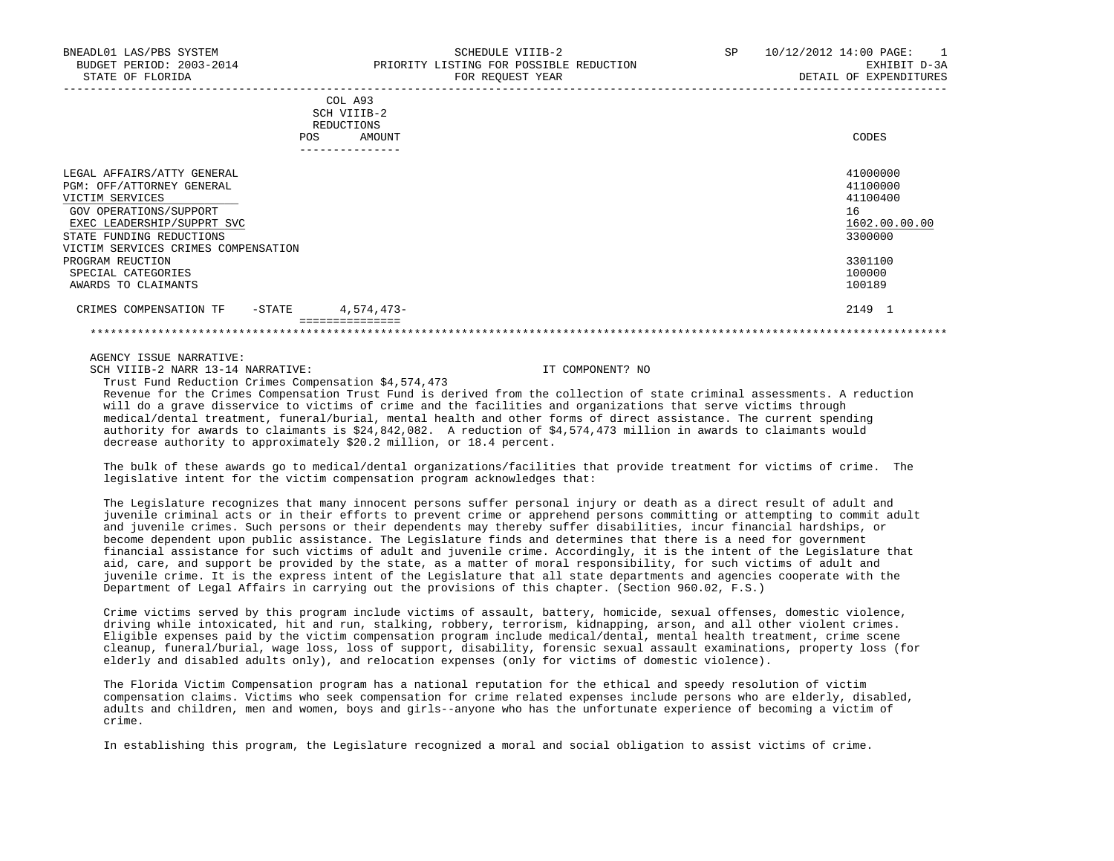|                                                              | 10111122000111111 |               |
|--------------------------------------------------------------|-------------------|---------------|
| COL A93<br>SCH VIIIB-2<br>REDUCTIONS<br><b>POS</b><br>AMOUNT |                   | CODES         |
| -------------                                                |                   |               |
| LEGAL AFFAIRS/ATTY GENERAL                                   |                   | 41000000      |
| PGM: OFF/ATTORNEY GENERAL                                    |                   | 41100000      |
| VICTIM SERVICES                                              |                   | 41100400      |
| GOV OPERATIONS/SUPPORT                                       |                   | 16            |
| EXEC LEADERSHIP/SUPPRT SVC                                   |                   | 1602.00.00.00 |
| STATE FUNDING REDUCTIONS                                     |                   | 3300000       |
| VICTIM SERVICES CRIMES COMPENSATION                          |                   |               |
| PROGRAM REUCTION                                             |                   | 3301100       |
| SPECIAL CATEGORIES                                           |                   | 100000        |
| AWARDS TO CLAIMANTS                                          |                   | 100189        |
| 4,574,473-<br>CRIMES COMPENSATION TF<br>-STATE               |                   | 2149 1        |
| =============                                                |                   |               |

\*\*\*\*\*\*\*\*\*\*\*\*\*\*\*\*\*\*\*\*\*\*\*\*\*\*\*\*\*\*\*\*\*\*\*\*\*\*\*\*\*\*\*\*\*\*\*\*\*\*\*\*\*\*\*\*\*\*\*\*\*\*\*\*\*\*\*\*\*\*\*\*\*\*\*\*\*\*\*\*\*\*\*\*\*\*\*\*\*\*\*\*\*\*\*\*\*\*\*\*\*\*\*\*\*\*\*\*\*\*\*\*\*\*\*\*\*\*\*\*\*\*\*\*\*\*\*

AGENCY ISSUE NARRATIVE:

SCH VIIIB-2 NARR 13-14 NARRATIVE: IT COMPONENT? NO

Trust Fund Reduction Crimes Compensation \$4,574,473

 Revenue for the Crimes Compensation Trust Fund is derived from the collection of state criminal assessments. A reduction will do a grave disservice to victims of crime and the facilities and organizations that serve victims through medical/dental treatment, funeral/burial, mental health and other forms of direct assistance. The current spending authority for awards to claimants is \$24,842,082. A reduction of \$4,574,473 million in awards to claimants would decrease authority to approximately \$20.2 million, or 18.4 percent.

 The bulk of these awards go to medical/dental organizations/facilities that provide treatment for victims of crime. The legislative intent for the victim compensation program acknowledges that:

 The Legislature recognizes that many innocent persons suffer personal injury or death as a direct result of adult and juvenile criminal acts or in their efforts to prevent crime or apprehend persons committing or attempting to commit adult and juvenile crimes. Such persons or their dependents may thereby suffer disabilities, incur financial hardships, or become dependent upon public assistance. The Legislature finds and determines that there is a need for government financial assistance for such victims of adult and juvenile crime. Accordingly, it is the intent of the Legislature that aid, care, and support be provided by the state, as a matter of moral responsibility, for such victims of adult and juvenile crime. It is the express intent of the Legislature that all state departments and agencies cooperate with the Department of Legal Affairs in carrying out the provisions of this chapter. (Section 960.02, F.S.)

 Crime victims served by this program include victims of assault, battery, homicide, sexual offenses, domestic violence, driving while intoxicated, hit and run, stalking, robbery, terrorism, kidnapping, arson, and all other violent crimes. Eligible expenses paid by the victim compensation program include medical/dental, mental health treatment, crime scene cleanup, funeral/burial, wage loss, loss of support, disability, forensic sexual assault examinations, property loss (for elderly and disabled adults only), and relocation expenses (only for victims of domestic violence).

 The Florida Victim Compensation program has a national reputation for the ethical and speedy resolution of victim compensation claims. Victims who seek compensation for crime related expenses include persons who are elderly, disabled, adults and children, men and women, boys and girls--anyone who has the unfortunate experience of becoming a victim of crime.

In establishing this program, the Legislature recognized a moral and social obligation to assist victims of crime.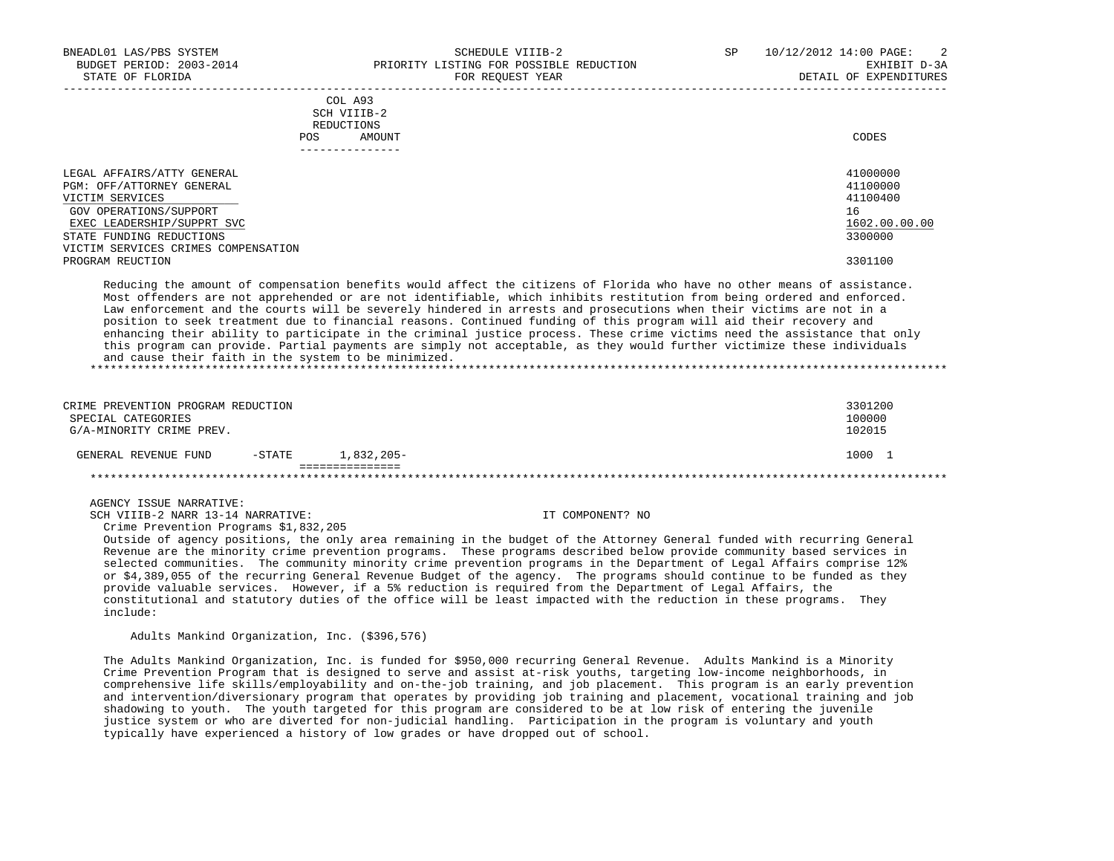|            | _______________ |       |
|------------|-----------------|-------|
| POS        | AMOUNT          | CODES |
| REDUCTIONS |                 |       |
|            | SCH VIIIB-2     |       |
|            | COL A93         |       |

| LEGAL AFFAIRS/ATTY GENERAL          | 41000000      |
|-------------------------------------|---------------|
| PGM: OFF/ATTORNEY GENERAL           | 41100000      |
| VICTIM SERVICES                     | 41100400      |
| GOV OPERATIONS/SUPPORT              | 16            |
| EXEC LEADERSHIP/SUPPRT SVC          | 1602.00.00.00 |
| STATE FUNDING REDUCTIONS            | 3300000       |
| VICTIM SERVICES CRIMES COMPENSATION |               |
| PROGRAM REUCTION                    | 3301100       |
|                                     |               |

-----------------------------------------------------------------------------------------------------------------------------------

 Reducing the amount of compensation benefits would affect the citizens of Florida who have no other means of assistance. Most offenders are not apprehended or are not identifiable, which inhibits restitution from being ordered and enforced. Law enforcement and the courts will be severely hindered in arrests and prosecutions when their victims are not in a position to seek treatment due to financial reasons. Continued funding of this program will aid their recovery and enhancing their ability to participate in the criminal justice process. These crime victims need the assistance that only this program can provide. Partial payments are simply not acceptable, as they would further victimize these individuals and cause their faith in the system to be minimized.

| CRIME PREVENTION PROGRAM REDUCTION<br>SPECIAL CATEGORIES<br>G/A-MINORITY CRIME PREV. |           |               | 3301200<br>100000<br>102015 |
|--------------------------------------------------------------------------------------|-----------|---------------|-----------------------------|
| GENERAL REVENUE FUND                                                                 | $-$ STATE | $1.832.205 -$ | 1000                        |
|                                                                                      |           |               |                             |

## AGENCY ISSUE NARRATIVE:

SCH VIIIB-2 NARR 13-14 NARRATIVE: IT COMPONENT? NO Crime Prevention Programs \$1,832,205

 Outside of agency positions, the only area remaining in the budget of the Attorney General funded with recurring General Revenue are the minority crime prevention programs. These programs described below provide community based services in selected communities. The community minority crime prevention programs in the Department of Legal Affairs comprise 12% or \$4,389,055 of the recurring General Revenue Budget of the agency. The programs should continue to be funded as they provide valuable services. However, if a 5% reduction is required from the Department of Legal Affairs, the constitutional and statutory duties of the office will be least impacted with the reduction in these programs. They include:

Adults Mankind Organization, Inc. (\$396,576)

 The Adults Mankind Organization, Inc. is funded for \$950,000 recurring General Revenue. Adults Mankind is a Minority Crime Prevention Program that is designed to serve and assist at-risk youths, targeting low-income neighborhoods, in comprehensive life skills/employability and on-the-job training, and job placement. This program is an early prevention and intervention/diversionary program that operates by providing job training and placement, vocational training and job shadowing to youth. The youth targeted for this program are considered to be at low risk of entering the juvenile justice system or who are diverted for non-judicial handling. Participation in the program is voluntary and youth typically have experienced a history of low grades or have dropped out of school.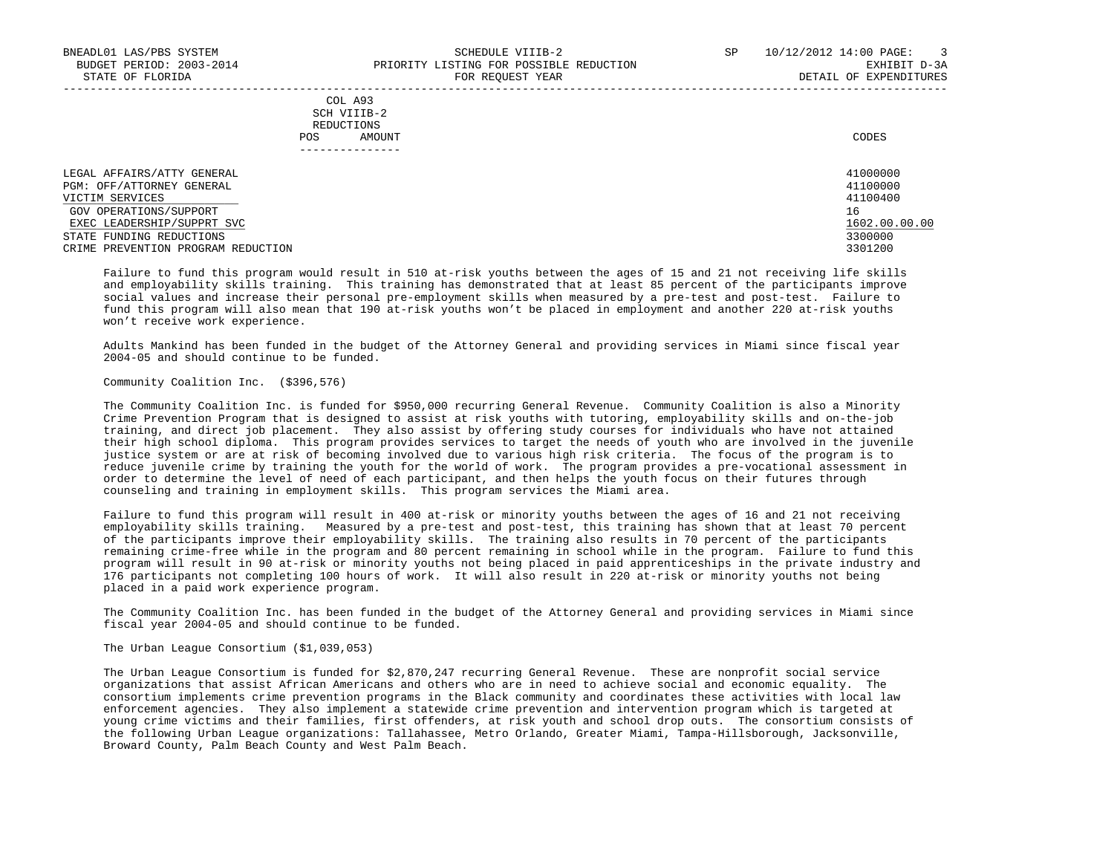|            | COL A93     |       |
|------------|-------------|-------|
|            | SCH VIIIB-2 |       |
| REDUCTIONS |             |       |
| POS        | AMOUNT      | CODES |

| LEGAL AFFAIRS/ATTY GENERAL         | 41000000      |
|------------------------------------|---------------|
| PGM: OFF/ATTORNEY GENERAL          | 41100000      |
| VICTIM SERVICES                    | 41100400      |
| GOV OPERATIONS/SUPPORT             | 16            |
| EXEC LEADERSHIP/SUPPRT SVC         | 1602.00.00.00 |
| STATE FUNDING REDUCTIONS           | 3300000       |
| CRIME PREVENTION PROGRAM REDUCTION | 3301200       |

-----------------------------------------------------------------------------------------------------------------------------------

 Failure to fund this program would result in 510 at-risk youths between the ages of 15 and 21 not receiving life skills and employability skills training. This training has demonstrated that at least 85 percent of the participants improve social values and increase their personal pre-employment skills when measured by a pre-test and post-test. Failure to fund this program will also mean that 190 at-risk youths won't be placed in employment and another 220 at-risk youths won't receive work experience.

 Adults Mankind has been funded in the budget of the Attorney General and providing services in Miami since fiscal year 2004-05 and should continue to be funded.

Community Coalition Inc. (\$396,576)

 The Community Coalition Inc. is funded for \$950,000 recurring General Revenue. Community Coalition is also a Minority Crime Prevention Program that is designed to assist at risk youths with tutoring, employability skills and on-the-job training, and direct job placement. They also assist by offering study courses for individuals who have not attained their high school diploma. This program provides services to target the needs of youth who are involved in the juvenile justice system or are at risk of becoming involved due to various high risk criteria. The focus of the program is to reduce juvenile crime by training the youth for the world of work. The program provides a pre-vocational assessment in order to determine the level of need of each participant, and then helps the youth focus on their futures through counseling and training in employment skills. This program services the Miami area.

 Failure to fund this program will result in 400 at-risk or minority youths between the ages of 16 and 21 not receiving employability skills training. Measured by a pre-test and post-test, this training has shown that at least 70 percent of the participants improve their employability skills. The training also results in 70 percent of the participants remaining crime-free while in the program and 80 percent remaining in school while in the program. Failure to fund this program will result in 90 at-risk or minority youths not being placed in paid apprenticeships in the private industry and 176 participants not completing 100 hours of work. It will also result in 220 at-risk or minority youths not being placed in a paid work experience program.

 The Community Coalition Inc. has been funded in the budget of the Attorney General and providing services in Miami since fiscal year 2004-05 and should continue to be funded.

The Urban League Consortium (\$1,039,053)

 The Urban League Consortium is funded for \$2,870,247 recurring General Revenue. These are nonprofit social service organizations that assist African Americans and others who are in need to achieve social and economic equality. The consortium implements crime prevention programs in the Black community and coordinates these activities with local law enforcement agencies. They also implement a statewide crime prevention and intervention program which is targeted at young crime victims and their families, first offenders, at risk youth and school drop outs. The consortium consists of the following Urban League organizations: Tallahassee, Metro Orlando, Greater Miami, Tampa-Hillsborough, Jacksonville, Broward County, Palm Beach County and West Palm Beach.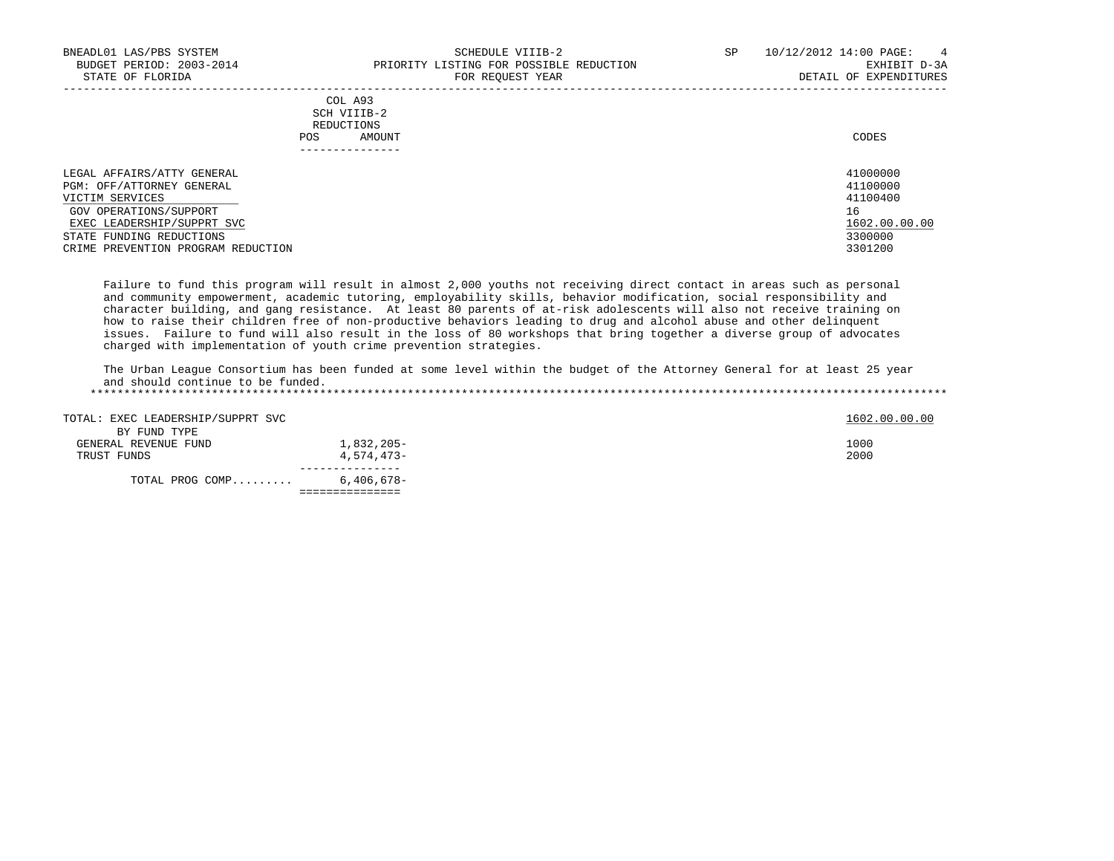DETAIL OF EXPENDITURES

|                                                                            | COL A93<br>SCH VIIIB-2<br>REDUCTIONS<br>AMOUNT<br>POS.<br>------------- | CODES                            |
|----------------------------------------------------------------------------|-------------------------------------------------------------------------|----------------------------------|
| LEGAL AFFAIRS/ATTY GENERAL<br>PGM: OFF/ATTORNEY GENERAL<br>VICTIM SERVICES |                                                                         | 41000000<br>41100000<br>41100400 |

| LEGAL AFFAIRS/ATTY GENERAL         | 41000000      |
|------------------------------------|---------------|
| PGM: OFF/ATTORNEY GENERAL          | 41100000      |
| VICTIM SERVICES                    | 41100400      |
| GOV OPERATIONS/SUPPORT             | 16            |
| EXEC LEADERSHIP/SUPPRT SVC         | 1602.00.00.00 |
| STATE FUNDING REDUCTIONS           | 3300000       |
| CRIME PREVENTION PROGRAM REDUCTION | 3301200       |
|                                    |               |

 Failure to fund this program will result in almost 2,000 youths not receiving direct contact in areas such as personal and community empowerment, academic tutoring, employability skills, behavior modification, social responsibility and character building, and gang resistance. At least 80 parents of at-risk adolescents will also not receive training on how to raise their children free of non-productive behaviors leading to drug and alcohol abuse and other delinquent issues. Failure to fund will also result in the loss of 80 workshops that bring together a diverse group of advocates charged with implementation of youth crime prevention strategies.

 The Urban League Consortium has been funded at some level within the budget of the Attorney General for at least 25 year and should continue to be funded.

\*\*\*\*\*\*\*\*\*\*\*\*\*\*\*\*\*\*\*\*\*\*\*\*\*\*\*\*\*\*\*\*\*\*\*\*\*\*\*\*\*\*\*\*\*\*\*\*\*\*\*\*\*\*\*\*\*\*\*\*\*\*\*\*\*\*\*\*\*\*\*\*\*\*\*\*\*\*\*\*\*\*\*\*\*\*\*\*\*\*\*\*\*\*\*\*\*\*\*\*\*\*\*\*\*\*\*\*\*\*\*\*\*\*\*\*\*\*\*\*\*\*\*\*\*\*\*

| TOTAL PROG COMP                   | 6,406,678- |               |
|-----------------------------------|------------|---------------|
|                                   |            |               |
| TRUST FUNDS                       | 4,574,473- | 2000          |
| GENERAL REVENUE FUND              | 1,832,205- | 1000          |
| BY FUND TYPE                      |            |               |
|                                   |            |               |
| TOTAL: EXEC LEADERSHIP/SUPPRT SVC |            | 1602.00.00.00 |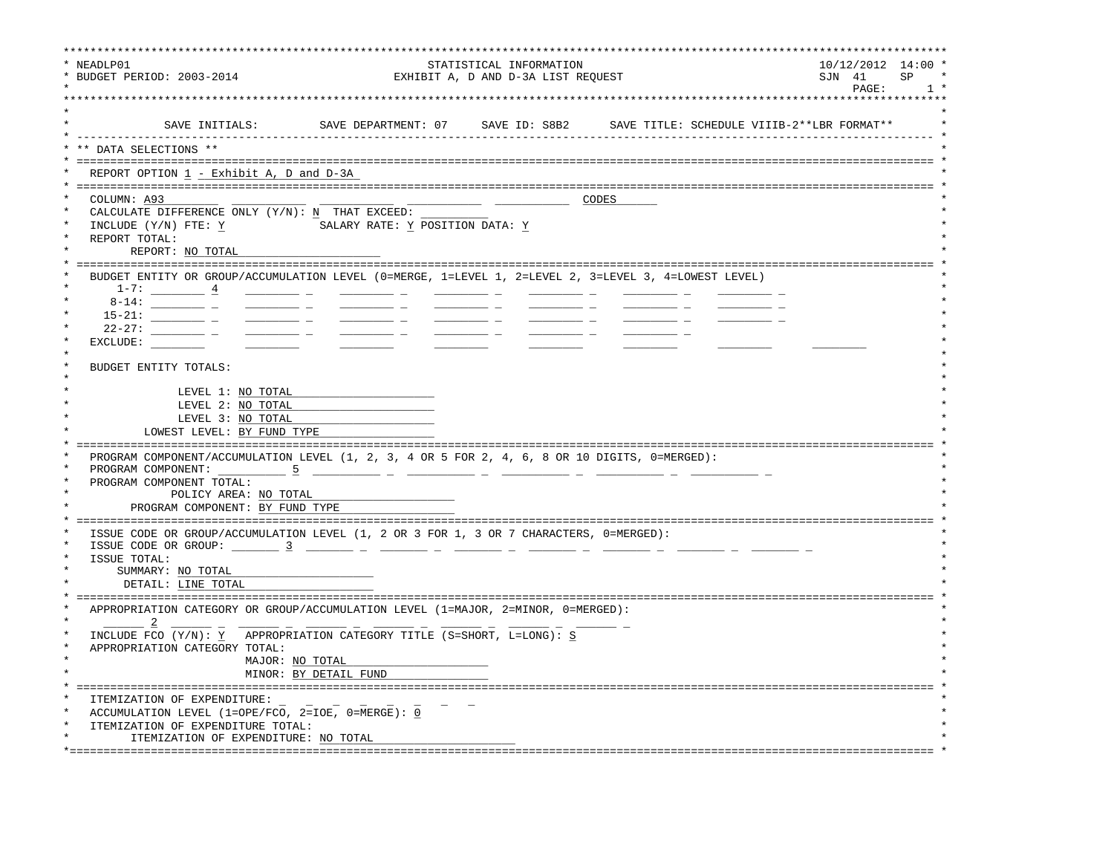| SAVE DEPARTMENT: 07 SAVE ID: S8B2 SAVE TITLE: SCHEDULE VIIIB-2**LBR FORMAT**<br>SAVE INITIALS:                                                                                                                                                                                                                                                                                                                                                                                                                                                                                                                                                                                                                                                                                                                                                                                                                          |  |
|-------------------------------------------------------------------------------------------------------------------------------------------------------------------------------------------------------------------------------------------------------------------------------------------------------------------------------------------------------------------------------------------------------------------------------------------------------------------------------------------------------------------------------------------------------------------------------------------------------------------------------------------------------------------------------------------------------------------------------------------------------------------------------------------------------------------------------------------------------------------------------------------------------------------------|--|
| ** DATA SELECTIONS **                                                                                                                                                                                                                                                                                                                                                                                                                                                                                                                                                                                                                                                                                                                                                                                                                                                                                                   |  |
| REPORT OPTION 1 - Exhibit A, D and D-3A                                                                                                                                                                                                                                                                                                                                                                                                                                                                                                                                                                                                                                                                                                                                                                                                                                                                                 |  |
| COLUMN: A93<br>CODES<br>CALCULATE DIFFERENCE ONLY (Y/N): N THAT EXCEED:<br>INCLUDE (Y/N) FTE: Y<br>SALARY RATE: Y POSITION DATA: Y<br>REPORT TOTAL:<br>REPORT: NO TOTAL                                                                                                                                                                                                                                                                                                                                                                                                                                                                                                                                                                                                                                                                                                                                                 |  |
| BUDGET ENTITY OR GROUP/ACCUMULATION LEVEL (0=MERGE, 1=LEVEL 1, 2=LEVEL 2, 3=LEVEL 3, 4=LOWEST LEVEL)<br>$1-7:$ 4<br>$8 - 14:$<br>$\frac{1}{1-\frac{1}{1-\frac{1}{1-\frac{1}{1-\frac{1}{1-\frac{1}{1-\frac{1}{1-\frac{1}{1-\frac{1}{1-\frac{1}{1-\frac{1}{1-\frac{1}{1-\frac{1}{1-\frac{1}{1-\frac{1}{1-\frac{1}{1-\frac{1}{1-\frac{1}{1-\frac{1}{1-\frac{1}{1-\frac{1}{1-\frac{1}{1-\frac{1}{1-\frac{1}{1-\frac{1}{1-\frac{1}{1-\frac{1}{1-\frac{1}{1-\frac{1}{1-\frac{1}{1-\frac{1}{1-\frac{1}{1-\frac{1}{1-\frac{1}{1-\frac{1}{1-\frac{1}{1-\frac{1$<br>$\frac{1}{2}$ and $\frac{1}{2}$ and $\frac{1}{2}$ and $\frac{1}{2}$ and $\frac{1}{2}$ and $\frac{1}{2}$ and $\frac{1}{2}$ and $\frac{1}{2}$<br>$22 - 27:$<br><u> 1999 - Jan James James</u><br>$\frac{1}{2}$ and $\frac{1}{2}$ and $\frac{1}{2}$ and $\frac{1}{2}$ and $\frac{1}{2}$ and $\frac{1}{2}$ and $\frac{1}{2}$<br>EXCLUDE:<br>BUDGET ENTITY TOTALS: |  |
| LEVEL 1: NO TOTAL                                                                                                                                                                                                                                                                                                                                                                                                                                                                                                                                                                                                                                                                                                                                                                                                                                                                                                       |  |
| LEVEL 2: NO TOTAL<br>LEVEL 3: NO TOTAL<br>LOWEST LEVEL: BY FUND TYPE                                                                                                                                                                                                                                                                                                                                                                                                                                                                                                                                                                                                                                                                                                                                                                                                                                                    |  |
| PROGRAM COMPONENT/ACCUMULATION LEVEL (1, 2, 3, 4 OR 5 FOR 2, 4, 6, 8 OR 10 DIGITS, 0=MERGED):<br>PROGRAM COMPONENT: 5                                                                                                                                                                                                                                                                                                                                                                                                                                                                                                                                                                                                                                                                                                                                                                                                   |  |
| PROGRAM COMPONENT TOTAL:<br>POLICY AREA: NO TOTAL<br>PROGRAM COMPONENT: BY FUND TYPE                                                                                                                                                                                                                                                                                                                                                                                                                                                                                                                                                                                                                                                                                                                                                                                                                                    |  |
| ==========================<br>ISSUE CODE OR GROUP/ACCUMULATION LEVEL (1, 2 OR 3 FOR 1, 3 OR 7 CHARACTERS, 0=MERGED):<br>ISSUE CODE OR GROUP: $\frac{3}{2}$ $\frac{1}{2}$ $\frac{1}{2}$ $\frac{1}{2}$ $\frac{1}{2}$ $\frac{1}{2}$ $\frac{1}{2}$ $\frac{1}{2}$ $\frac{1}{2}$ $\frac{1}{2}$ $\frac{1}{2}$ $\frac{1}{2}$ $\frac{1}{2}$ $\frac{1}{2}$ $\frac{1}{2}$ $\frac{1}{2}$ $\frac{1}{2}$ $\frac{1}{2}$ $\frac{1}{2}$ $\frac{1}{2}$<br>ISSUE TOTAL:                                                                                                                                                                                                                                                                                                                                                                                                                                                                    |  |
| SUMMARY: NO TOTAL<br>DETAIL: LINE TOTAL                                                                                                                                                                                                                                                                                                                                                                                                                                                                                                                                                                                                                                                                                                                                                                                                                                                                                 |  |
| APPROPRIATION CATEGORY OR GROUP/ACCUMULATION LEVEL (1=MAJOR, 2=MINOR, 0=MERGED):                                                                                                                                                                                                                                                                                                                                                                                                                                                                                                                                                                                                                                                                                                                                                                                                                                        |  |
| INCLUDE FCO (Y/N): Y APPROPRIATION CATEGORY TITLE (S=SHORT, L=LONG): S<br>APPROPRIATION CATEGORY TOTAL:<br>MAJOR: NO TOTAL                                                                                                                                                                                                                                                                                                                                                                                                                                                                                                                                                                                                                                                                                                                                                                                              |  |
| MINOR: BY DETAIL FUND                                                                                                                                                                                                                                                                                                                                                                                                                                                                                                                                                                                                                                                                                                                                                                                                                                                                                                   |  |
| ITEMIZATION OF EXPENDITURE:<br>ACCUMULATION LEVEL (1=OPE/FCO, 2=IOE, 0=MERGE): $\underline{0}$<br>ITEMIZATION OF EXPENDITURE TOTAL:<br>ITEMIZATION OF EXPENDITURE: NO TOTAL                                                                                                                                                                                                                                                                                                                                                                                                                                                                                                                                                                                                                                                                                                                                             |  |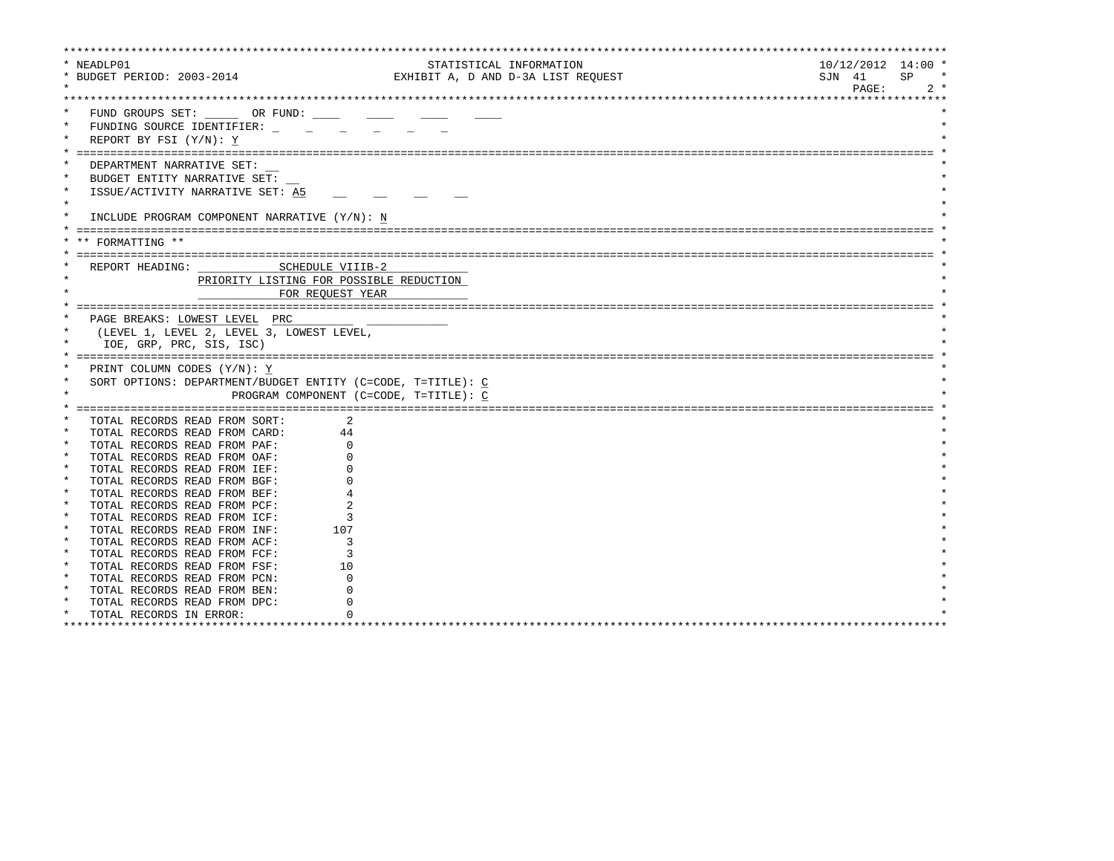| * NEADLP01 |                                                             | STATISTICAL INFORMATION            | $10/12/2012$ 14:00 * |  |  |  |  |  |  |  |  |
|------------|-------------------------------------------------------------|------------------------------------|----------------------|--|--|--|--|--|--|--|--|
|            | * BUDGET PERIOD: 2003-2014                                  | EXHIBIT A, D AND D-3A LIST REQUEST | SJN 41<br>SP         |  |  |  |  |  |  |  |  |
|            |                                                             |                                    | PAGE:<br>$2 *$       |  |  |  |  |  |  |  |  |
|            |                                                             |                                    |                      |  |  |  |  |  |  |  |  |
|            | FUND GROUPS SET: OR FUND:                                   |                                    |                      |  |  |  |  |  |  |  |  |
| $\star$    | FUNDING SOURCE IDENTIFIER:                                  |                                    |                      |  |  |  |  |  |  |  |  |
|            | REPORT BY FSI (Y/N): Y                                      |                                    |                      |  |  |  |  |  |  |  |  |
|            |                                                             |                                    |                      |  |  |  |  |  |  |  |  |
|            | DEPARTMENT NARRATIVE SET:                                   |                                    |                      |  |  |  |  |  |  |  |  |
|            | BUDGET ENTITY NARRATIVE SET:                                |                                    |                      |  |  |  |  |  |  |  |  |
| $\star$    |                                                             |                                    |                      |  |  |  |  |  |  |  |  |
| $\star$    | ISSUE/ACTIVITY NARRATIVE SET: A5                            |                                    |                      |  |  |  |  |  |  |  |  |
|            |                                                             |                                    |                      |  |  |  |  |  |  |  |  |
|            | INCLUDE PROGRAM COMPONENT NARRATIVE (Y/N): N                |                                    |                      |  |  |  |  |  |  |  |  |
|            |                                                             |                                    |                      |  |  |  |  |  |  |  |  |
|            | ** FORMATTING **                                            |                                    |                      |  |  |  |  |  |  |  |  |
|            |                                                             |                                    |                      |  |  |  |  |  |  |  |  |
|            | SCHEDULE VIIIB-2<br>REPORT HEADING:                         |                                    |                      |  |  |  |  |  |  |  |  |
|            | PRIORITY LISTING FOR POSSIBLE REDUCTION                     |                                    |                      |  |  |  |  |  |  |  |  |
|            | FOR REOUEST YEAR                                            |                                    |                      |  |  |  |  |  |  |  |  |
|            |                                                             |                                    |                      |  |  |  |  |  |  |  |  |
|            | PAGE BREAKS: LOWEST LEVEL PRC                               |                                    |                      |  |  |  |  |  |  |  |  |
| $\star$    | (LEVEL 1, LEVEL 2, LEVEL 3, LOWEST LEVEL,                   |                                    |                      |  |  |  |  |  |  |  |  |
|            | IOE, GRP, PRC, SIS, ISC)                                    |                                    |                      |  |  |  |  |  |  |  |  |
|            |                                                             |                                    |                      |  |  |  |  |  |  |  |  |
|            | PRINT COLUMN CODES (Y/N): Y                                 |                                    |                      |  |  |  |  |  |  |  |  |
| $\star$    | SORT OPTIONS: DEPARTMENT/BUDGET ENTITY (C=CODE, T=TITLE): C |                                    |                      |  |  |  |  |  |  |  |  |
| $\star$    | PROGRAM COMPONENT (C=CODE, T=TITLE): C                      |                                    |                      |  |  |  |  |  |  |  |  |
|            |                                                             |                                    |                      |  |  |  |  |  |  |  |  |
|            | TOTAL RECORDS READ FROM SORT:<br>2                          |                                    |                      |  |  |  |  |  |  |  |  |
|            | TOTAL RECORDS READ FROM CARD:<br>44                         |                                    |                      |  |  |  |  |  |  |  |  |
|            | TOTAL RECORDS READ FROM PAF:                                |                                    |                      |  |  |  |  |  |  |  |  |
| $\star$    | TOTAL RECORDS READ FROM OAF:                                |                                    |                      |  |  |  |  |  |  |  |  |
| $\star$    | TOTAL RECORDS READ FROM IEF:                                |                                    |                      |  |  |  |  |  |  |  |  |
| $\star$    | TOTAL RECORDS READ FROM BGF:                                |                                    |                      |  |  |  |  |  |  |  |  |
| $\star$    | TOTAL RECORDS READ FROM BEF:                                |                                    |                      |  |  |  |  |  |  |  |  |
| $\star$    | TOTAL RECORDS READ FROM PCF:                                |                                    |                      |  |  |  |  |  |  |  |  |
| $\ast$     | TOTAL RECORDS READ FROM ICF:<br>3                           |                                    |                      |  |  |  |  |  |  |  |  |
| $\star$    | 107<br>TOTAL RECORDS READ FROM INF:                         |                                    |                      |  |  |  |  |  |  |  |  |
| $\star$    | TOTAL RECORDS READ FROM ACF:<br>κ                           |                                    |                      |  |  |  |  |  |  |  |  |
| $\star$    | ζ<br>TOTAL RECORDS READ FROM FCF:                           |                                    |                      |  |  |  |  |  |  |  |  |
| $\star$    | TOTAL RECORDS READ FROM FSF:<br>10                          |                                    |                      |  |  |  |  |  |  |  |  |
| $\star$    | TOTAL RECORDS READ FROM PCN:                                |                                    |                      |  |  |  |  |  |  |  |  |
|            | TOTAL RECORDS READ FROM BEN:                                |                                    |                      |  |  |  |  |  |  |  |  |
| $\star$    | TOTAL RECORDS READ FROM DPC:                                |                                    |                      |  |  |  |  |  |  |  |  |
| $\star$    | TOTAL RECORDS IN ERROR:                                     |                                    |                      |  |  |  |  |  |  |  |  |
|            | ********************************                            |                                    |                      |  |  |  |  |  |  |  |  |